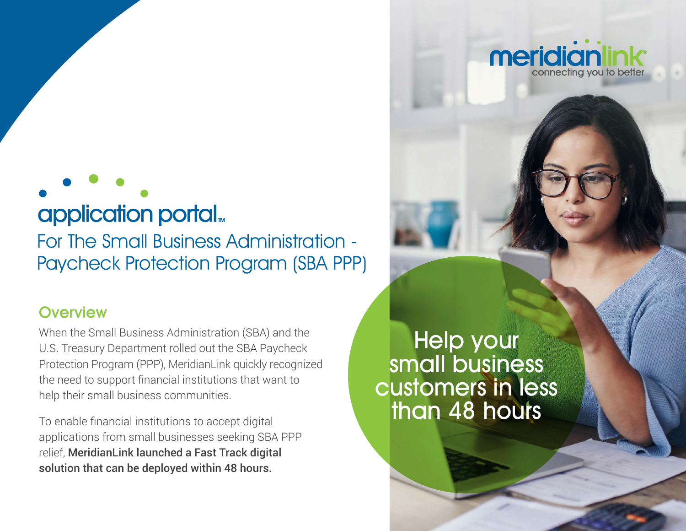# application portal<sub>»</sub>

For The Small Business Administration - Paycheck Protection Program (SBA PPP)

### **Overview**

When the Small Business Administration (SBA) and the U.S. Treasury Department rolled out the SBA Paycheck Protection Program (PPP), MeridianLink quickly recognized the need to support financial institutions that want to help their small business communities.

To enable financial institutions to accept digital applications from small businesses seeking SBA PPP relief, MeridianLink launched a Fast Track digital solution that can be deployed within 48 hours.

Help your small business customers in less than 48 hours

meridiar

connecting you to bette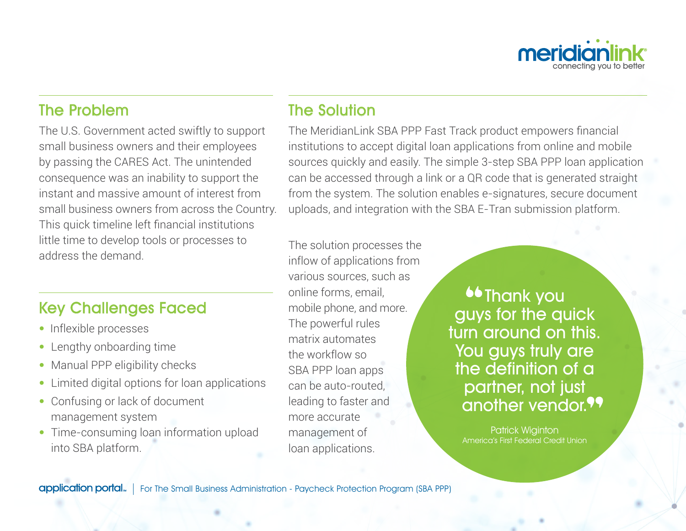

### The Problem

The U.S. Government acted swiftly to support small business owners and their employees by passing the CARES Act. The unintended consequence was an inability to support the instant and massive amount of interest from small business owners from across the Country. This quick timeline left financial institutions little time to develop tools or processes to address the demand.

### Key Challenges Faced

- Inflexible processes
- Lengthy onboarding time
- Manual PPP eligibility checks
- Limited digital options for loan applications
- Confusing or lack of document management system
- Time-consuming loan information upload into SBA platform.

# The Solution

The MeridianLink SBA PPP Fast Track product empowers financial institutions to accept digital loan applications from online and mobile sources quickly and easily. The simple 3-step SBA PPP loan application can be accessed through a link or a QR code that is generated straight from the system. The solution enables e-signatures, secure document uploads, and integration with the SBA E-Tran submission platform.

The solution processes the inflow of applications from various sources, such as online forms, email, mobile phone, and more. The powerful rules matrix automates the workflow so SBA PPP loan apps can be auto-routed, leading to faster and more accurate management of loan applications.

**Contract of the Thank you** guys for the quick turn around on this. You guys truly are the definition of a partner, not just another vendor.<sup>99</sup>

Patrick Wiginton America's First Federal Credit Union

application portal. | For The Small Business Administration - Paycheck Protection Program (SBA PPP)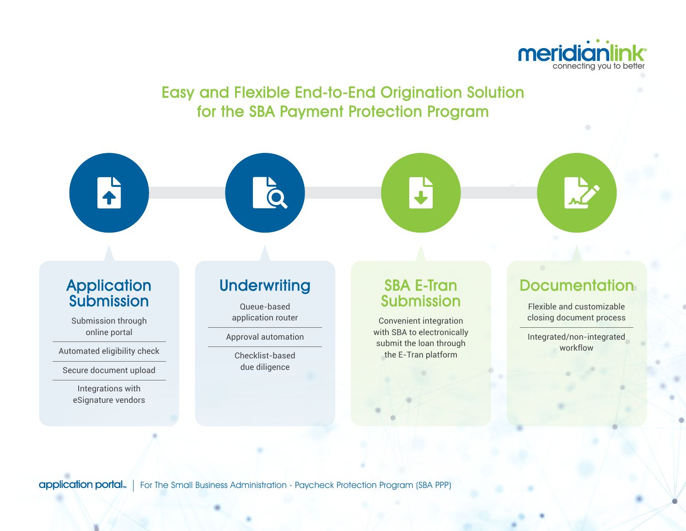

# Easy and Flexible End-to-End Origination Solution for the SBA Payment Protection Program



application portal... For The Small Business Administration - Paycheck Protection Program (SBA PPP)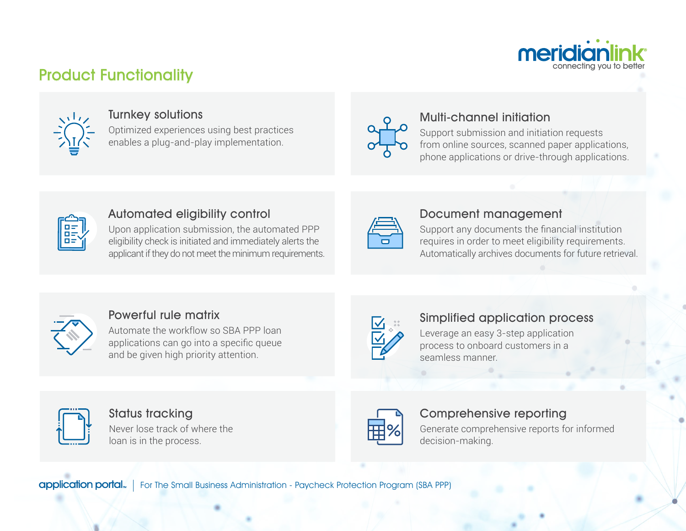

# Product Functionality



#### Turnkey solutions

Optimized experiences using best practices enables a plug-and-play implementation.



### Multi-channel initiation

Support submission and initiation requests from online sources, scanned paper applications, phone applications or drive-through applications.



### Automated eligibility control

Upon application submission, the automated PPP eligibility check is initiated and immediately alerts the applicant if they do not meet the minimum requirements.

#### Document management

Support any documents the financial institution requires in order to meet eligibility requirements. Automatically archives documents for future retrieval.



### Powerful rule matrix

Automate the workflow so SBA PPP loan applications can go into a specific queue and be given high priority attention.



#### Simplified application process

Leverage an easy 3-step application process to onboard customers in a seamless manner.



#### Status tracking

Never lose track of where the loan is in the process.



#### Comprehensive reporting

Generate comprehensive reports for informed decision-making.

**application portal**. | For The Small Business Administration - Paycheck Protection Program (SBA PPP)